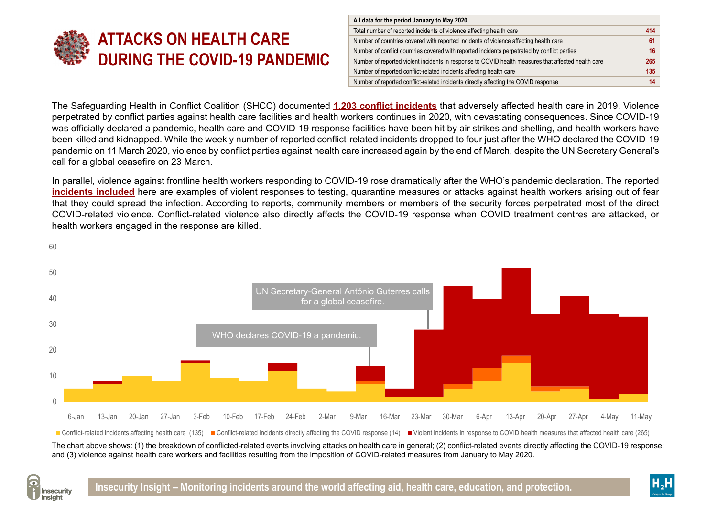

| All data for the period January to May 2020                                                         |     |
|-----------------------------------------------------------------------------------------------------|-----|
| Total number of reported incidents of violence affecting health care                                | 414 |
| Number of countries covered with reported incidents of violence affecting health care               | 61  |
| Number of conflict countries covered with reported incidents perpetrated by conflict parties        | 16  |
| Number of reported violent incidents in response to COVID health measures that affected health care | 265 |
| Number of reported conflict-related incidents affecting health care                                 | 135 |
| Number of reported conflict-related incidents directly affecting the COVID response                 | 14  |

The Safeguarding Health in Conflict Coalition (SHCC) documented **[1,203 conflict incidents](https://bit.ly/2AgC6MN)** that adversely affected health care in 2019. Violence perpetrated by conflict parties against health care facilities and health workers continues in 2020, with devastating consequences. Since COVID-19 was officially declared a pandemic, health care and COVID-19 response facilities have been hit by air strikes and shelling, and health workers have been killed and kidnapped. While the weekly number of reported conflict-related incidents dropped to four just after the WHO declared the COVID-19 pandemic on 11 March 2020, violence by conflict parties against health care increased again by the end of March, despite the UN Secretary General's call for a global ceasefire on 23 March.

In parallel, violence against frontline health workers responding to COVID-19 rose dramatically after the WHO's pandemic declaration. The reported **[incidents included](https://data.humdata.org/dataset/shcchealthcare-dataset)** here are examples of violent responses to testing, quarantine measures or attacks against health workers arising out of fear that they could spread the infection. According to reports, community members or members of the security forces perpetrated most of the direct COVID-related violence. Conflict-related violence also directly affects the COVID-19 response when COVID treatment centres are attacked, or health workers engaged in the response are killed.



The chart above shows: (1) the breakdown of conflicted-related events involving attacks on health care in general; (2) conflict-related events directly affecting the COVID-19 response; and (3) violence against health care workers and facilities resulting from the imposition of COVID-related measures from January to May 2020.



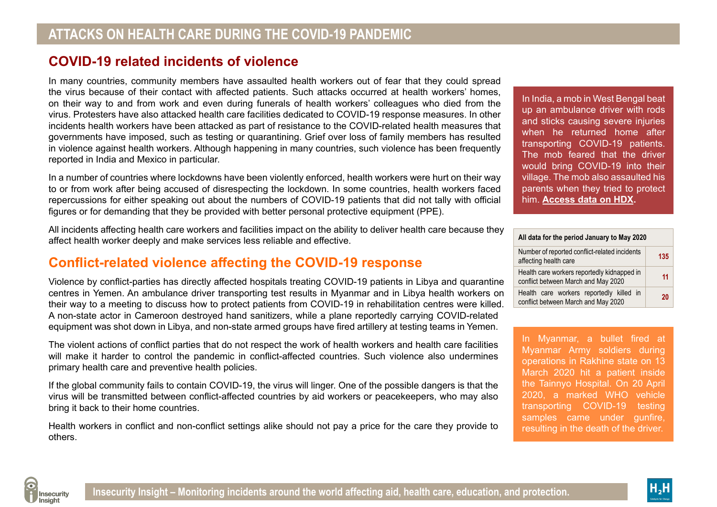# **COVID-19 related incidents of violence**

In many countries, community members have assaulted health workers out of fear that they could spread the virus because of their contact with affected patients. Such attacks occurred at health workers' homes, on their way to and from work and even during funerals of health workers' colleagues who died from the virus. Protesters have also attacked health care facilities dedicated to COVID-19 response measures. In other incidents health workers have been attacked as part of resistance to the COVID-related health measures that governments have imposed, such as testing or quarantining. Grief over loss of family members has resulted in violence against health workers. Although happening in many countries, such violence has been frequently reported in India and Mexico in particular.

In a number of countries where lockdowns have been violently enforced, health workers were hurt on their way to or from work after being accused of disrespecting the lockdown. In some countries, health workers faced repercussions for either speaking out about the numbers of COVID-19 patients that did not tally with official figures or for demanding that they be provided with better personal protective equipment (PPE).

All incidents affecting health care workers and facilities impact on the ability to deliver health care because they affect health worker deeply and make services less reliable and effective.

## **Conflict-related violence affecting the COVID-19 response**

Violence by conflict-parties has directly affected hospitals treating COVID-19 patients in Libya and quarantine centres in Yemen. An ambulance driver transporting test results in Myanmar and in Libya health workers on their way to a meeting to discuss how to protect patients from COVID-19 in rehabilitation centres were killed. A non-state actor in Cameroon destroyed hand sanitizers, while a plane reportedly carrying COVID-related equipment was shot down in Libya, and non-state armed groups have fired artillery at testing teams in Yemen.

The violent actions of conflict parties that do not respect the work of health workers and health care facilities will make it harder to control the pandemic in conflict-affected countries. Such violence also undermines primary health care and preventive health policies.

If the global community fails to contain COVID-19, the virus will linger. One of the possible dangers is that the virus will be transmitted between conflict-affected countries by aid workers or peacekeepers, who may also bring it back to their home countries.

Health workers in conflict and non-conflict settings alike should not pay a price for the care they provide to others.

In India, a mob in West Bengal beat up an ambulance driver with rods and sticks causing severe injuries when he returned home after transporting COVID-19 patients. The mob feared that the driver would bring COVID-19 into their village. The mob also assaulted his parents when they tried to protect him. **[Access data on HDX](https://data.humdata.org/dataset/aid-security-and-covid-19).** 

| All data for the period January to May 2020                                        |     |
|------------------------------------------------------------------------------------|-----|
| Number of reported conflict-related incidents<br>affecting health care             | 135 |
| Health care workers reportedly kidnapped in<br>conflict between March and May 2020 | 11  |
| Health care workers reportedly killed in<br>conflict between March and May 2020    | 20  |

In Myanmar, a bullet fired at Myanmar Army soldiers during operations in Rakhine state on 13 March 2020 hit a patient inside the Tainnyo Hospital. On 20 April 2020, a marked WHO vehicle transporting COVID-19 testing samples came under gunfire, resulting in the death of the driver.



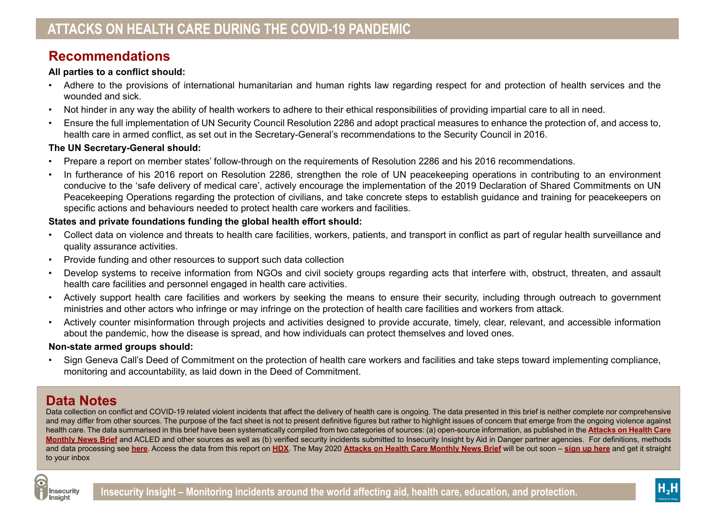## **Recommendations**

#### **All parties to a conflict should:**

- Adhere to the provisions of international humanitarian and human rights law regarding respect for and protection of health services and the wounded and sick.
- Not hinder in any way the ability of health workers to adhere to their ethical responsibilities of providing impartial care to all in need.
- Ensure the full implementation of UN Security Council Resolution 2286 and adopt practical measures to enhance the protection of, and access to, health care in armed conflict, as set out in the Secretary-General's recommendations to the Security Council in 2016.

## **The UN Secretary-General should:**

- Prepare a report on member states' follow-through on the requirements of Resolution 2286 and his 2016 recommendations.
- In furtherance of his 2016 report on Resolution 2286, strengthen the role of UN peacekeeping operations in contributing to an environment conducive to the 'safe delivery of medical care', actively encourage the implementation of the 2019 Declaration of Shared Commitments on UN Peacekeeping Operations regarding the protection of civilians, and take concrete steps to establish guidance and training for peacekeepers on specific actions and behaviours needed to protect health care workers and facilities.

## **States and private foundations funding the global health effort should:**

- Collect data on violence and threats to health care facilities, workers, patients, and transport in conflict as part of regular health surveillance and quality assurance activities.
- Provide funding and other resources to support such data collection
- Develop systems to receive information from NGOs and civil society groups regarding acts that interfere with, obstruct, threaten, and assault health care facilities and personnel engaged in health care activities.
- Actively support health care facilities and workers by seeking the means to ensure their security, including through outreach to government ministries and other actors who infringe or may infringe on the protection of health care facilities and workers from attack.
- Actively counter misinformation through projects and activities designed to provide accurate, timely, clear, relevant, and accessible information about the pandemic, how the disease is spread, and how individuals can protect themselves and loved ones.

### **Non-state armed groups should:**

• Sign Geneva Call's Deed of Commitment on the protection of health care workers and facilities and take steps toward implementing compliance, monitoring and accountability, as laid down in the Deed of Commitment.

# **Data Notes**

Data collection on conflict and COVID-19 related violent incidents that affect the delivery of health care is ongoing. The data presented in this brief is neither complete nor comprehensive and may differ from other sources. The purpose of the fact sheet is not to present definitive figures but rather to highlight issues of concern that emerge from the ongoing violence against health care. The data summarised in this brief have been systematically compiled from two categories of sources: (a) open-source information, as published in the **[Attacks on Health Care](http://insecurityinsight.org/projects/healthcare/monthlynewsbrief)  [Monthly News Brief](http://insecurityinsight.org/projects/healthcare/monthlynewsbrief)** and ACLED and other sources as well as (b) verified security incidents submitted to Insecurity Insight by Aid in Danger partner agencies. For definitions, methods and data processing see **[here](https://bit.ly/3daW5uJ)**. Access the data from this report on **[HDX](https://data.humdata.org/dataset/aid-security-and-covid-19)**. The May 2020 **[Attacks on Health Care Monthly News Brief](http://insecurityinsight.org/projects/healthcare/monthlynewsbrief)** will be out soon – **[sign up here](http://eepurl.com/gPFd0v)** and get it straight to your inbox



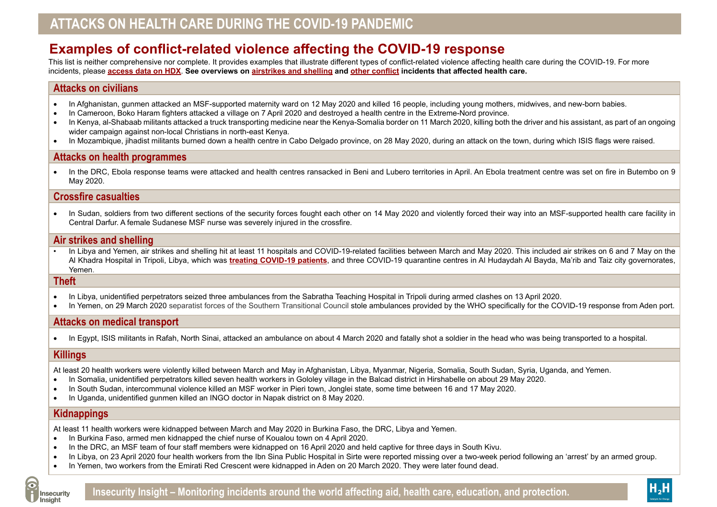# **Examples of conflict-related violence affecting the COVID-19 response**

This list is neither comprehensive nor complete. It provides examples that illustrate different types of conflict-related violence affecting health care during the COVID-19. For more incidents, please **[access data on HDX](https://data.humdata.org/dataset/aid-security-and-covid-19)**. **See overviews on [airstrikes and shelling](https://bit.ly/2zmayW7) and [other conflict](https://bit.ly/3cmmCUw) incidents that affected health care.** 

#### **Attacks on civilians**

- In Afghanistan, gunmen attacked an MSF-supported maternity ward on 12 May 2020 and killed 16 people, including young mothers, midwives, and new-born babies.
- In Cameroon, Boko Haram fighters attacked a village on 7 April 2020 and destroyed a health centre in the Extreme-Nord province.
- In Kenya, al-Shabaab militants attacked a truck transporting medicine near the Kenya-Somalia border on 11 March 2020, killing both the driver and his assistant, as part of an ongoing wider campaign against non-local Christians in north-east Kenya.
- In Mozambique, jihadist militants burned down a health centre in Cabo Delgado province, on 28 May 2020, during an attack on the town, during which ISIS flags were raised.

### **Attacks on health programmes**

• In the DRC, Ebola response teams were attacked and health centres ransacked in Beni and Lubero territories in April. An Ebola treatment centre was set on fire in Butembo on 9 May 2020.

### **Crossfire casualties**

• In Sudan, soldiers from two different sections of the security forces fought each other on 14 May 2020 and violently forced their way into an MSF-supported health care facility in Central Darfur. A female Sudanese MSF nurse was severely injured in the crossfire.

#### **Air strikes and shelling**

In Libya and Yemen, air strikes and shelling hit at least 11 hospitals and COVID-19-related facilities between March and May 2020. This included air strikes on 6 and 7 May on the Al Khadra Hospital in Tripoli, Libya, which was **[treating COVID-19 patients](https://ruptly.tv/en/videos/20200409-004)**, and three COVID-19 quarantine centres in Al Hudaydah Al Bayda, Ma'rib and Taiz city governorates, Yemen.

#### **Theft**

- In Libya, unidentified perpetrators seized three ambulances from the Sabratha Teaching Hospital in Tripoli during armed clashes on 13 April 2020.
- In Yemen, on 29 March 2020 separatist forces of the Southern Transitional Council stole ambulances provided by the WHO specifically for the COVID-19 response from Aden port.

## **Attacks on medical transport**

• In Egypt, ISIS militants in Rafah, North Sinai, attacked an ambulance on about 4 March 2020 and fatally shot a soldier in the head who was being transported to a hospital.

### **Killings**

At least 20 health workers were violently killed between March and May in Afghanistan, Libya, Myanmar, Nigeria, Somalia, South Sudan, Syria, Uganda, and Yemen.

- • In Somalia, unidentified perpetrators killed seven health workers in Gololey village in the Balcad district in Hirshabelle on about 29 May 2020.
- In South Sudan, intercommunal violence killed an MSF worker in Pieri town, Jonglei state, some time between 16 and 17 May 2020.
- In Uganda, unidentified gunmen killed an INGO doctor in Napak district on 8 May 2020.

#### **Kidnappings**

At least 11 health workers were kidnapped between March and May 2020 in Burkina Faso, the DRC, Libya and Yemen.

- In Burkina Faso, armed men kidnapped the chief nurse of Koualou town on 4 April 2020.
- In the DRC, an MSF team of four staff members were kidnapped on 16 April 2020 and held captive for three davs in South Kivu.
- In Libya, on 23 April 2020 four health workers from the Ibn Sina Public Hospital in Sirte were reported missing over a two-week period following an 'arrest' by an armed group.
- In Yemen, two workers from the Emirati Red Crescent were kidnapped in Aden on 20 March 2020. They were later found dead.